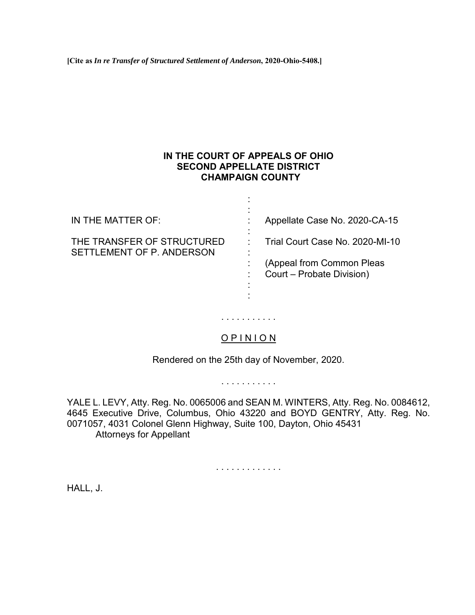**[Cite as** *In re Transfer of Structured Settlement of Anderson***, 2020-Ohio-5408.]**

# **IN THE COURT OF APPEALS OF OHIO SECOND APPELLATE DISTRICT CHAMPAIGN COUNTY**

: : : : : : :

IN THE MATTER OF:

Appellate Case No. 2020-CA-15

Trial Court Case No. 2020-MI-10

THE TRANSFER OF STRUCTURED SETTLEMENT OF P. ANDERSON

: (Appeal from Common Pleas Court – Probate Division)

# O P I N I O N

. . . . . . . . . . .

: :

Rendered on the 25th day of November, 2020.

. . . . . . . . . . .

YALE L. LEVY, Atty. Reg. No. 0065006 and SEAN M. WINTERS, Atty. Reg. No. 0084612, 4645 Executive Drive, Columbus, Ohio 43220 and BOYD GENTRY, Atty. Reg. No. 0071057, 4031 Colonel Glenn Highway, Suite 100, Dayton, Ohio 45431 Attorneys for Appellant

. . . . . . . . . . . . .

HALL, J.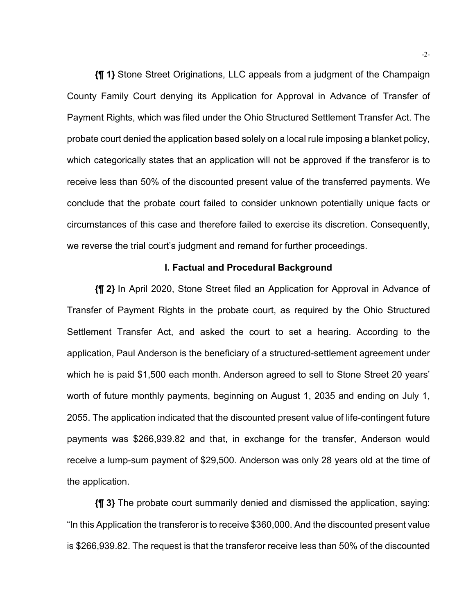**{¶ 1}** Stone Street Originations, LLC appeals from a judgment of the Champaign County Family Court denying its Application for Approval in Advance of Transfer of Payment Rights, which was filed under the Ohio Structured Settlement Transfer Act. The probate court denied the application based solely on a local rule imposing a blanket policy, which categorically states that an application will not be approved if the transferor is to receive less than 50% of the discounted present value of the transferred payments. We conclude that the probate court failed to consider unknown potentially unique facts or circumstances of this case and therefore failed to exercise its discretion. Consequently, we reverse the trial court's judgment and remand for further proceedings.

#### **I. Factual and Procedural Background**

**{¶ 2}** In April 2020, Stone Street filed an Application for Approval in Advance of Transfer of Payment Rights in the probate court, as required by the Ohio Structured Settlement Transfer Act, and asked the court to set a hearing. According to the application, Paul Anderson is the beneficiary of a structured-settlement agreement under which he is paid \$1,500 each month. Anderson agreed to sell to Stone Street 20 years' worth of future monthly payments, beginning on August 1, 2035 and ending on July 1, 2055. The application indicated that the discounted present value of life-contingent future payments was \$266,939.82 and that, in exchange for the transfer, Anderson would receive a lump-sum payment of \$29,500. Anderson was only 28 years old at the time of the application.

**{¶ 3}** The probate court summarily denied and dismissed the application, saying: "In this Application the transferor is to receive \$360,000. And the discounted present value is \$266,939.82. The request is that the transferor receive less than 50% of the discounted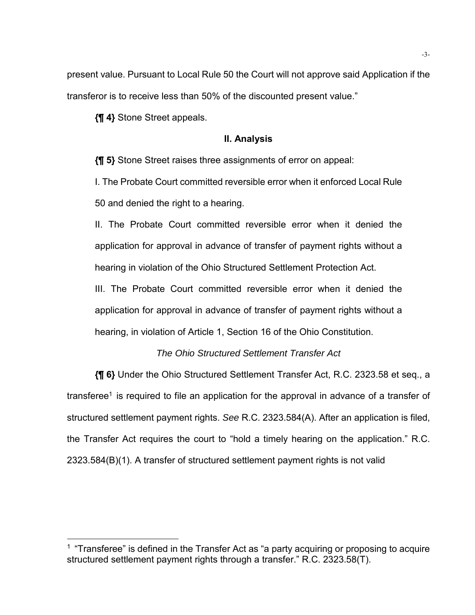present value. Pursuant to Local Rule 50 the Court will not approve said Application if the transferor is to receive less than 50% of the discounted present value."

**{¶ 4}** Stone Street appeals.

 $\overline{a}$ 

### **II. Analysis**

**{¶ 5}** Stone Street raises three assignments of error on appeal:

I. The Probate Court committed reversible error when it enforced Local Rule 50 and denied the right to a hearing.

II. The Probate Court committed reversible error when it denied the application for approval in advance of transfer of payment rights without a hearing in violation of the Ohio Structured Settlement Protection Act.

III. The Probate Court committed reversible error when it denied the application for approval in advance of transfer of payment rights without a hearing, in violation of Article 1, Section 16 of the Ohio Constitution.

# *The Ohio Structured Settlement Transfer Act*

**{¶ 6}** Under the Ohio Structured Settlement Transfer Act, R.C. 2323.58 et seq., a transferee<sup>1</sup> is required to file an application for the approval in advance of a transfer of structured settlement payment rights. *See* R.C. 2323.584(A). After an application is filed, the Transfer Act requires the court to "hold a timely hearing on the application." R.C. 2323.584(B)(1). A transfer of structured settlement payment rights is not valid

 $1$  "Transferee" is defined in the Transfer Act as "a party acquiring or proposing to acquire structured settlement payment rights through a transfer." R.C. 2323.58(T).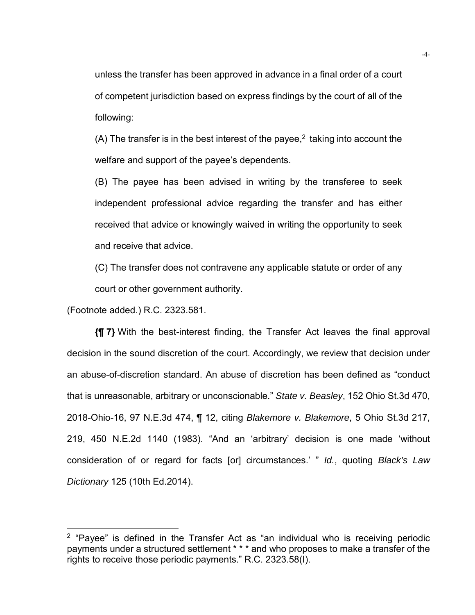unless the transfer has been approved in advance in a final order of a court of competent jurisdiction based on express findings by the court of all of the following:

(A) The transfer is in the best interest of the payee,<sup>2</sup> taking into account the welfare and support of the payee's dependents.

(B) The payee has been advised in writing by the transferee to seek independent professional advice regarding the transfer and has either received that advice or knowingly waived in writing the opportunity to seek and receive that advice.

(C) The transfer does not contravene any applicable statute or order of any court or other government authority.

(Footnote added.) R.C. 2323.581.

**{¶ 7}** With the best-interest finding, the Transfer Act leaves the final approval decision in the sound discretion of the court. Accordingly, we review that decision under an abuse-of-discretion standard. An abuse of discretion has been defined as "conduct that is unreasonable, arbitrary or unconscionable." *State v. Beasley*, 152 Ohio St.3d 470, 2018-Ohio-16, 97 N.E.3d 474, ¶ 12, citing *Blakemore v. Blakemore*, 5 Ohio St.3d 217, 219, 450 N.E.2d 1140 (1983). "And an 'arbitrary' decision is one made 'without consideration of or regard for facts [or] circumstances.' " *Id.*, quoting *Black's Law Dictionary* 125 (10th Ed.2014).

 $2$  "Payee" is defined in the Transfer Act as "an individual who is receiving periodic payments under a structured settlement \* \* \* and who proposes to make a transfer of the rights to receive those periodic payments." R.C. 2323.58(I).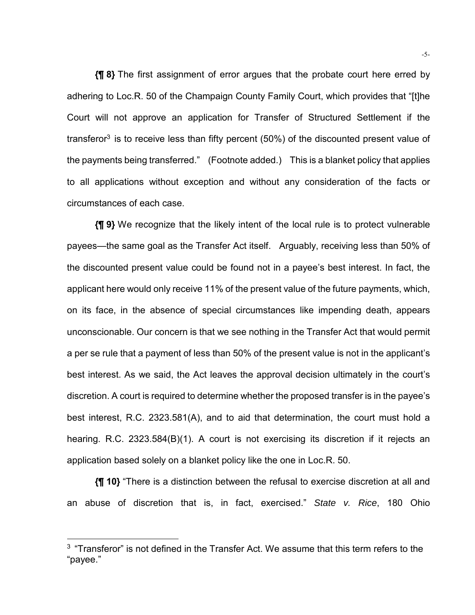**{¶ 8}** The first assignment of error argues that the probate court here erred by adhering to Loc.R. 50 of the Champaign County Family Court, which provides that "[t]he Court will not approve an application for Transfer of Structured Settlement if the transferor<sup>3</sup> is to receive less than fifty percent (50%) of the discounted present value of the payments being transferred." (Footnote added.) This is a blanket policy that applies to all applications without exception and without any consideration of the facts or circumstances of each case.

**{¶ 9}** We recognize that the likely intent of the local rule is to protect vulnerable payees—the same goal as the Transfer Act itself. Arguably, receiving less than 50% of the discounted present value could be found not in a payee's best interest. In fact, the applicant here would only receive 11% of the present value of the future payments, which, on its face, in the absence of special circumstances like impending death, appears unconscionable. Our concern is that we see nothing in the Transfer Act that would permit a per se rule that a payment of less than 50% of the present value is not in the applicant's best interest. As we said, the Act leaves the approval decision ultimately in the court's discretion. A court is required to determine whether the proposed transfer is in the payee's best interest, R.C. 2323.581(A), and to aid that determination, the court must hold a hearing. R.C. 2323.584(B)(1). A court is not exercising its discretion if it rejects an application based solely on a blanket policy like the one in Loc.R. 50.

**{¶ 10}** "There is a distinction between the refusal to exercise discretion at all and an abuse of discretion that is, in fact, exercised." *State v. Rice*, 180 Ohio

 $\overline{a}$ 

 $3$  "Transferor" is not defined in the Transfer Act. We assume that this term refers to the "payee."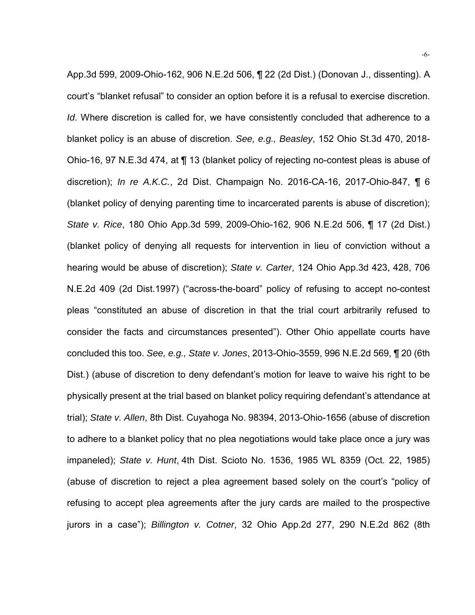App.3d 599, 2009-Ohio-162, 906 N.E.2d 506, ¶ 22 (2d Dist.) (Donovan J., dissenting). A court's "blanket refusal" to consider an option before it is a refusal to exercise discretion. *Id*. Where discretion is called for, we have consistently concluded that adherence to a blanket policy is an abuse of discretion. *See, e.g., Beasley*, 152 Ohio St.3d 470, 2018- Ohio-16, 97 N.E.3d 474, at ¶ 13 (blanket policy of rejecting no-contest pleas is abuse of discretion); *In re A.K.C.*, 2d Dist. Champaign No. 2016-CA-16, 2017-Ohio-847, ¶ 6 (blanket policy of denying parenting time to incarcerated parents is abuse of discretion); *State v. Rice*, 180 Ohio App.3d 599, 2009-Ohio-162, 906 N.E.2d 506, ¶ 17 (2d Dist.) (blanket policy of denying all requests for intervention in lieu of conviction without a hearing would be abuse of discretion); *State v. Carter*, 124 Ohio App.3d 423, 428, 706 N.E.2d 409 (2d Dist.1997) ("across-the-board" policy of refusing to accept no-contest pleas "constituted an abuse of discretion in that the trial court arbitrarily refused to consider the facts and circumstances presented"). Other Ohio appellate courts have concluded this too. *See, e.g., State v. Jones*, 2013-Ohio-3559, 996 N.E.2d 569, ¶ 20 (6th Dist.) (abuse of discretion to deny defendant's motion for leave to waive his right to be physically present at the trial based on blanket policy requiring defendant's attendance at trial); *State v. Allen*, 8th Dist. Cuyahoga No. 98394, 2013-Ohio-1656 (abuse of discretion to adhere to a blanket policy that no plea negotiations would take place once a jury was impaneled); *State v. Hunt*, 4th Dist. Scioto No. 1536, 1985 WL 8359 (Oct. 22, 1985) (abuse of discretion to reject a plea agreement based solely on the court's "policy of refusing to accept plea agreements after the jury cards are mailed to the prospective jurors in a case"); *Billington v. Cotner*, 32 Ohio App.2d 277, 290 N.E.2d 862 (8th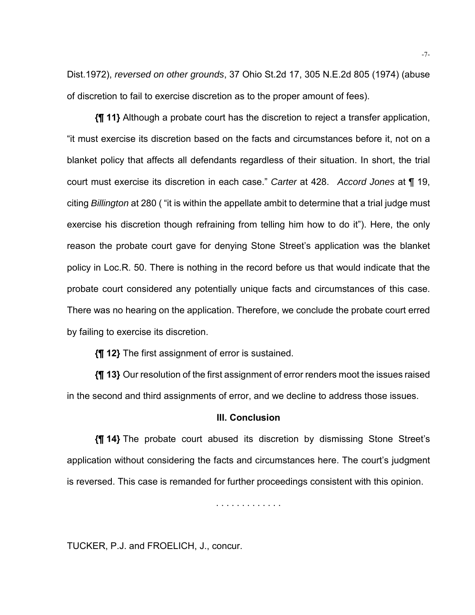Dist.1972), *reversed on other grounds*, 37 Ohio St.2d 17, 305 N.E.2d 805 (1974) (abuse of discretion to fail to exercise discretion as to the proper amount of fees).

**{¶ 11}** Although a probate court has the discretion to reject a transfer application, "it must exercise its discretion based on the facts and circumstances before it, not on a blanket policy that affects all defendants regardless of their situation. In short, the trial court must exercise its discretion in each case." *Carter* at 428. *Accord Jones* at ¶ 19, citing *Billington* at 280 ( "it is within the appellate ambit to determine that a trial judge must exercise his discretion though refraining from telling him how to do it"). Here, the only reason the probate court gave for denying Stone Street's application was the blanket policy in Loc.R. 50. There is nothing in the record before us that would indicate that the probate court considered any potentially unique facts and circumstances of this case. There was no hearing on the application. Therefore, we conclude the probate court erred by failing to exercise its discretion.

**{¶ 12}** The first assignment of error is sustained.

**{¶ 13}** Our resolution of the first assignment of error renders moot the issues raised in the second and third assignments of error, and we decline to address those issues.

#### **III. Conclusion**

**{¶ 14}** The probate court abused its discretion by dismissing Stone Street's application without considering the facts and circumstances here. The court's judgment is reversed. This case is remanded for further proceedings consistent with this opinion.

. . . . . . . . . . . . .

TUCKER, P.J. and FROELICH, J., concur.